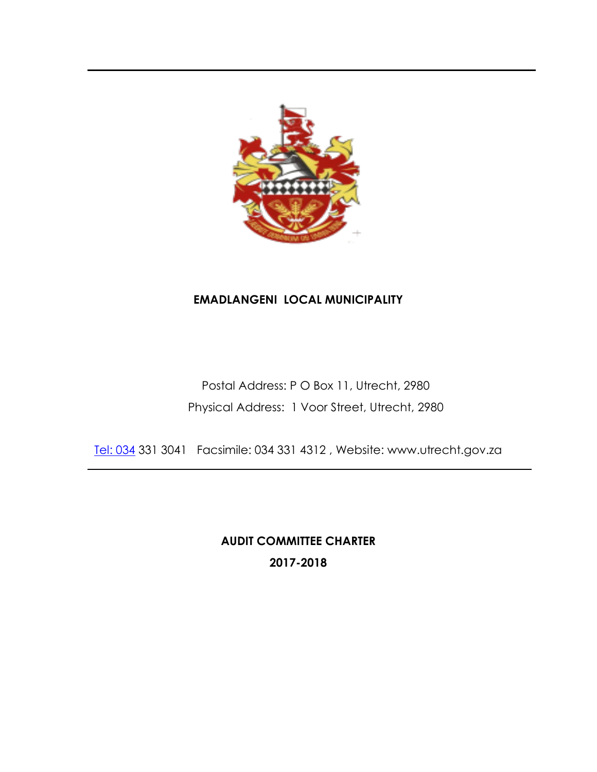

### **EMADLANGENI LOCAL MUNICIPALITY**

Postal Address: P O Box 11, Utrecht, 2980 Physical Address: 1 Voor Street, Utrecht, 2980

[Tel: 034](http://Tel:%20034) 331 3041 Facsimile: 034 331 4312 , Website: www.utrecht.gov.za

**AUDIT COMMITTEE CHARTER 2017-2018**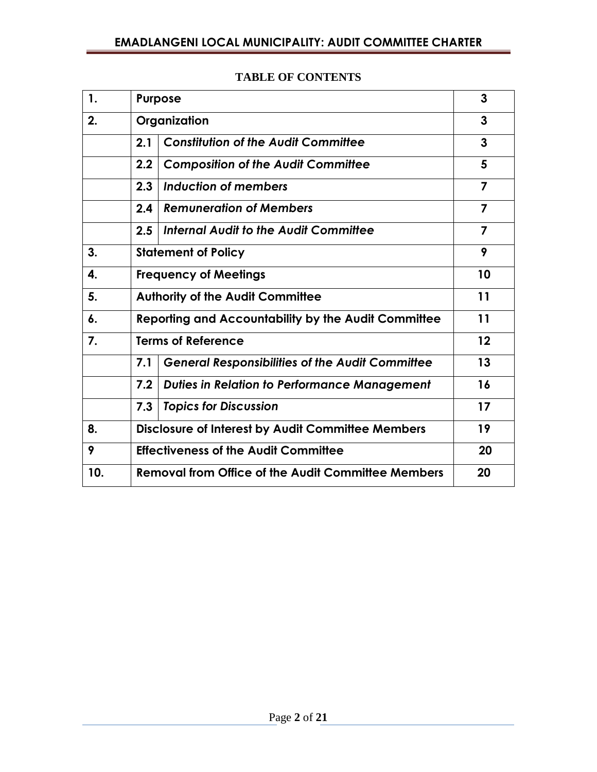| 1.  | <b>Purpose</b>                                                | 3              |
|-----|---------------------------------------------------------------|----------------|
| 2.  | Organization                                                  | 3              |
|     | <b>Constitution of the Audit Committee</b><br>2.1             | 3              |
|     | <b>Composition of the Audit Committee</b><br>2.2              | 5              |
|     | Induction of members<br>2.3                                   | $\overline{7}$ |
|     | <b>Remuneration of Members</b><br>2.4                         | $\overline{7}$ |
|     | 2.5<br>Internal Audit to the Audit Committee                  | $\overline{7}$ |
| 3.  | <b>Statement of Policy</b>                                    |                |
| 4.  | <b>Frequency of Meetings</b>                                  |                |
| 5.  | <b>Authority of the Audit Committee</b>                       |                |
| 6.  | <b>Reporting and Accountability by the Audit Committee</b>    |                |
| 7.  | <b>Terms of Reference</b>                                     | 12             |
|     | <b>General Responsibilities of the Audit Committee</b><br>7.1 | 13             |
|     | <b>Duties in Relation to Performance Management</b><br>7.2    | 16             |
|     | 7.3<br><b>Topics for Discussion</b>                           | 17             |
| 8.  | <b>Disclosure of Interest by Audit Committee Members</b>      | 19             |
| 9   | <b>Effectiveness of the Audit Committee</b><br>20             |                |
| 10. | <b>Removal from Office of the Audit Committee Members</b>     | 20             |

#### **TABLE OF CONTENTS**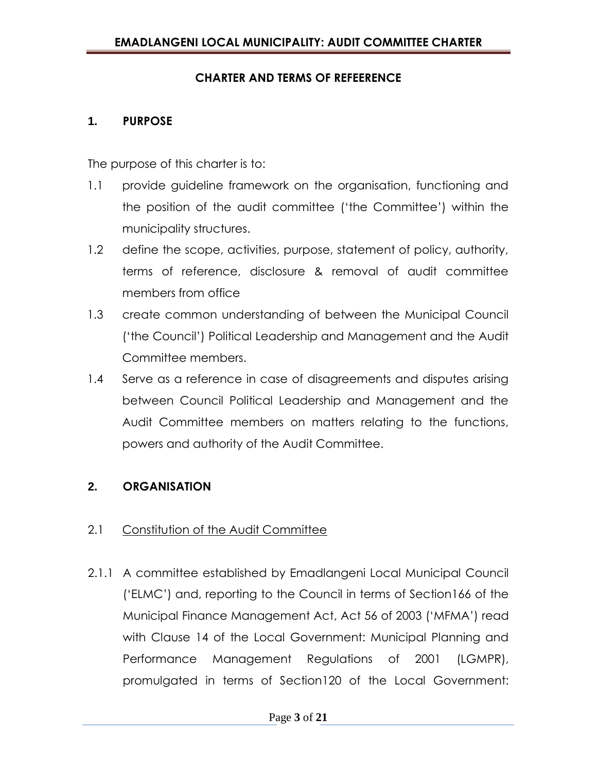### **CHARTER AND TERMS OF REFEERENCE**

#### **1. PURPOSE**

The purpose of this charter is to:

- 1.1 provide guideline framework on the organisation, functioning and the position of the audit committee ('the Committee') within the municipality structures.
- 1.2 define the scope, activities, purpose, statement of policy, authority, terms of reference, disclosure & removal of audit committee members from office
- 1.3 create common understanding of between the Municipal Council ('the Council') Political Leadership and Management and the Audit Committee members.
- 1.4 Serve as a reference in case of disagreements and disputes arising between Council Political Leadership and Management and the Audit Committee members on matters relating to the functions, powers and authority of the Audit Committee.

### **2. ORGANISATION**

### 2.1 Constitution of the Audit Committee

2.1.1 A committee established by Emadlangeni Local Municipal Council ('ELMC') and, reporting to the Council in terms of Section166 of the Municipal Finance Management Act, Act 56 of 2003 ('MFMA') read with Clause 14 of the Local Government: Municipal Planning and Performance Management Regulations of 2001 (LGMPR), promulgated in terms of Section120 of the Local Government: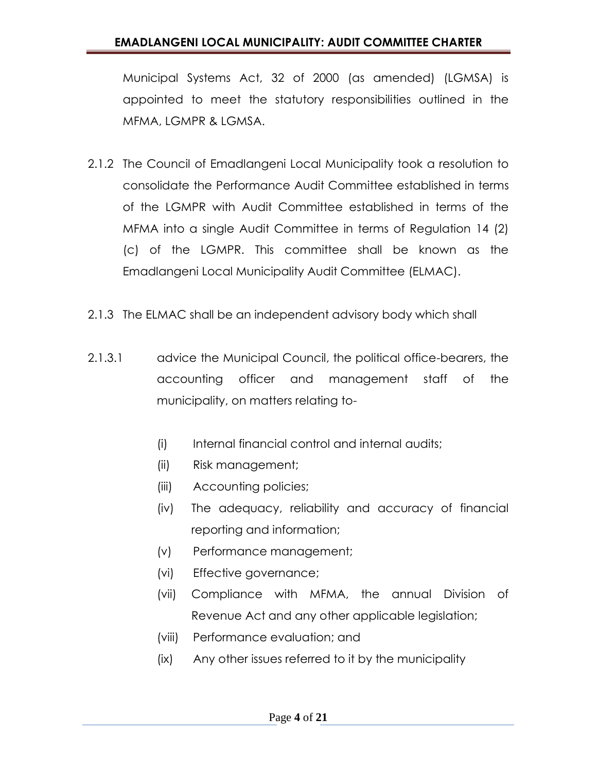Municipal Systems Act, 32 of 2000 (as amended) (LGMSA) is appointed to meet the statutory responsibilities outlined in the MFMA, LGMPR & LGMSA.

- 2.1.2 The Council of Emadlangeni Local Municipality took a resolution to consolidate the Performance Audit Committee established in terms of the LGMPR with Audit Committee established in terms of the MFMA into a single Audit Committee in terms of Regulation 14 (2) (c) of the LGMPR. This committee shall be known as the Emadlangeni Local Municipality Audit Committee (ELMAC).
- 2.1.3 The ELMAC shall be an independent advisory body which shall
- 2.1.3.1 advice the Municipal Council, the political office-bearers, the accounting officer and management staff of the municipality, on matters relating to-
	- (i) Internal financial control and internal audits;
	- (ii) Risk management;
	- (iii) Accounting policies;
	- (iv) The adequacy, reliability and accuracy of financial reporting and information;
	- (v) Performance management;
	- (vi) Effective governance;
	- (vii) Compliance with MFMA, the annual Division of Revenue Act and any other applicable legislation;
	- (viii) Performance evaluation; and
	- (ix) Any other issues referred to it by the municipality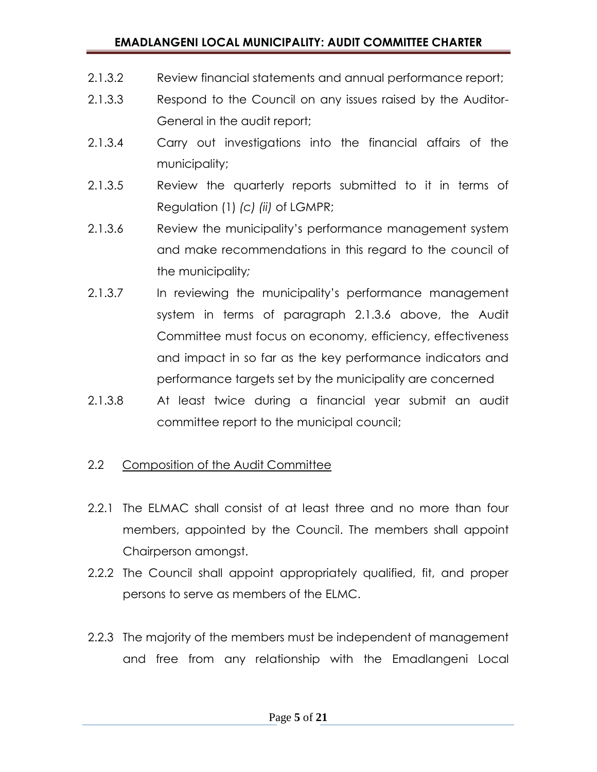### **EMADLANGENI LOCAL MUNICIPALITY: AUDIT COMMITTEE CHARTER**

- 2.1.3.2 Review financial statements and annual performance report;
- 2.1.3.3 Respond to the Council on any issues raised by the Auditor-General in the audit report;
- 2.1.3.4 Carry out investigations into the financial affairs of the municipality;
- 2.1.3.5 Review the quarterly reports submitted to it in terms of Regulation (1) *(c) (ii)* of LGMPR;
- 2.1.3.6 Review the municipality's performance management system and make recommendations in this regard to the council of the municipality*;*
- 2.1.3.7 In reviewing the municipality's performance management system in terms of paragraph 2.1.3.6 above, the Audit Committee must focus on economy, efficiency, effectiveness and impact in so far as the key performance indicators and performance targets set by the municipality are concerned
- 2.1.3.8 At least twice during a financial year submit an audit committee report to the municipal council;

### 2.2 Composition of the Audit Committee

- 2.2.1 The ELMAC shall consist of at least three and no more than four members, appointed by the Council. The members shall appoint Chairperson amongst.
- 2.2.2 The Council shall appoint appropriately qualified, fit, and proper persons to serve as members of the ELMC.
- 2.2.3 The majority of the members must be independent of management and free from any relationship with the Emadlangeni Local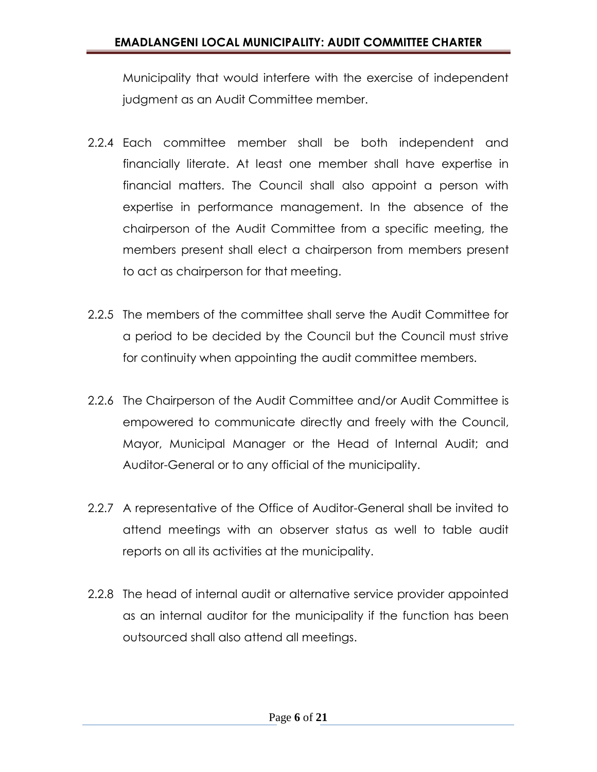Municipality that would interfere with the exercise of independent judgment as an Audit Committee member.

- 2.2.4 Each committee member shall be both independent and financially literate. At least one member shall have expertise in financial matters. The Council shall also appoint a person with expertise in performance management. In the absence of the chairperson of the Audit Committee from a specific meeting, the members present shall elect a chairperson from members present to act as chairperson for that meeting.
- 2.2.5 The members of the committee shall serve the Audit Committee for a period to be decided by the Council but the Council must strive for continuity when appointing the audit committee members.
- 2.2.6 The Chairperson of the Audit Committee and/or Audit Committee is empowered to communicate directly and freely with the Council, Mayor, Municipal Manager or the Head of Internal Audit; and Auditor-General or to any official of the municipality.
- 2.2.7 A representative of the Office of Auditor-General shall be invited to attend meetings with an observer status as well to table audit reports on all its activities at the municipality.
- 2.2.8 The head of internal audit or alternative service provider appointed as an internal auditor for the municipality if the function has been outsourced shall also attend all meetings.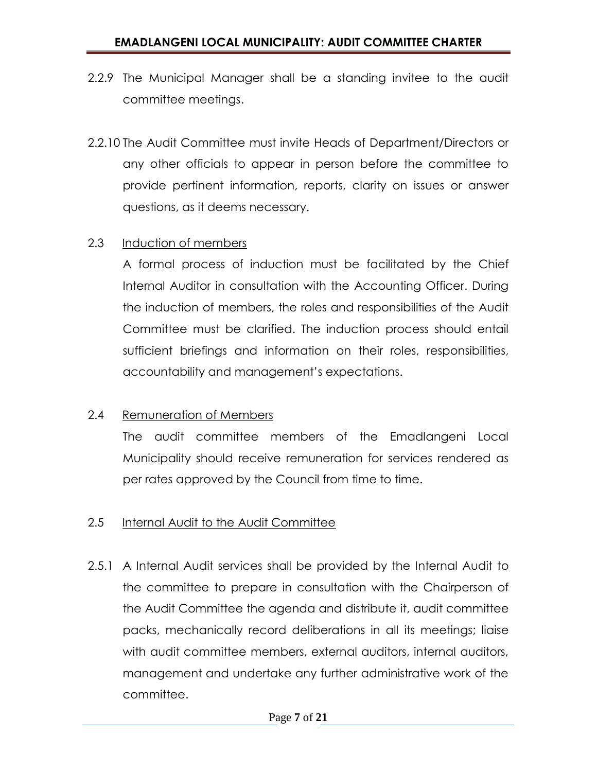- 2.2.9 The Municipal Manager shall be a standing invitee to the audit committee meetings.
- 2.2.10 The Audit Committee must invite Heads of Department/Directors or any other officials to appear in person before the committee to provide pertinent information, reports, clarity on issues or answer questions, as it deems necessary.

#### 2.3 Induction of members

A formal process of induction must be facilitated by the Chief Internal Auditor in consultation with the Accounting Officer. During the induction of members, the roles and responsibilities of the Audit Committee must be clarified. The induction process should entail sufficient briefings and information on their roles, responsibilities, accountability and management's expectations.

### 2.4 Remuneration of Members

The audit committee members of the Emadlangeni Local Municipality should receive remuneration for services rendered as per rates approved by the Council from time to time.

#### 2.5 Internal Audit to the Audit Committee

2.5.1 A Internal Audit services shall be provided by the Internal Audit to the committee to prepare in consultation with the Chairperson of the Audit Committee the agenda and distribute it, audit committee packs, mechanically record deliberations in all its meetings; liaise with audit committee members, external auditors, internal auditors, management and undertake any further administrative work of the committee.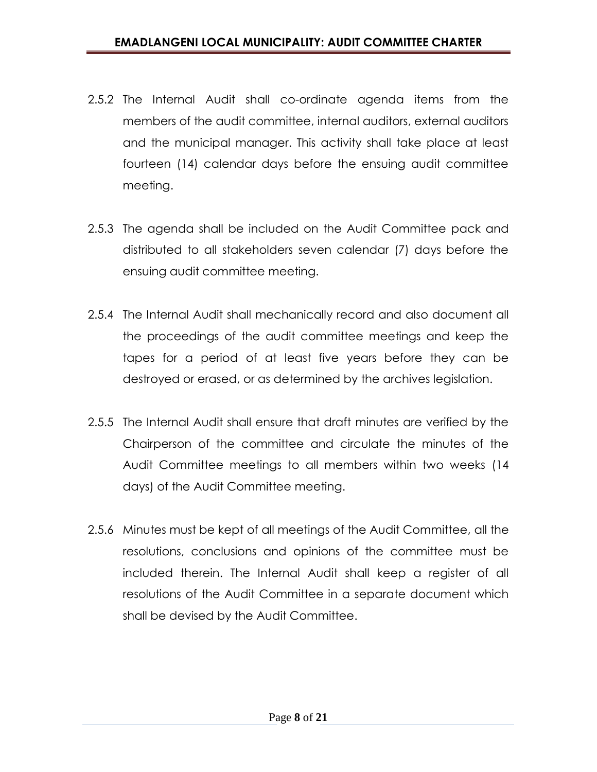- 2.5.2 The Internal Audit shall co-ordinate agenda items from the members of the audit committee, internal auditors, external auditors and the municipal manager. This activity shall take place at least fourteen (14) calendar days before the ensuing audit committee meeting.
- 2.5.3 The agenda shall be included on the Audit Committee pack and distributed to all stakeholders seven calendar (7) days before the ensuing audit committee meeting.
- 2.5.4 The Internal Audit shall mechanically record and also document all the proceedings of the audit committee meetings and keep the tapes for a period of at least five years before they can be destroyed or erased, or as determined by the archives legislation.
- 2.5.5 The Internal Audit shall ensure that draft minutes are verified by the Chairperson of the committee and circulate the minutes of the Audit Committee meetings to all members within two weeks (14 days) of the Audit Committee meeting.
- 2.5.6 Minutes must be kept of all meetings of the Audit Committee, all the resolutions, conclusions and opinions of the committee must be included therein. The Internal Audit shall keep a register of all resolutions of the Audit Committee in a separate document which shall be devised by the Audit Committee.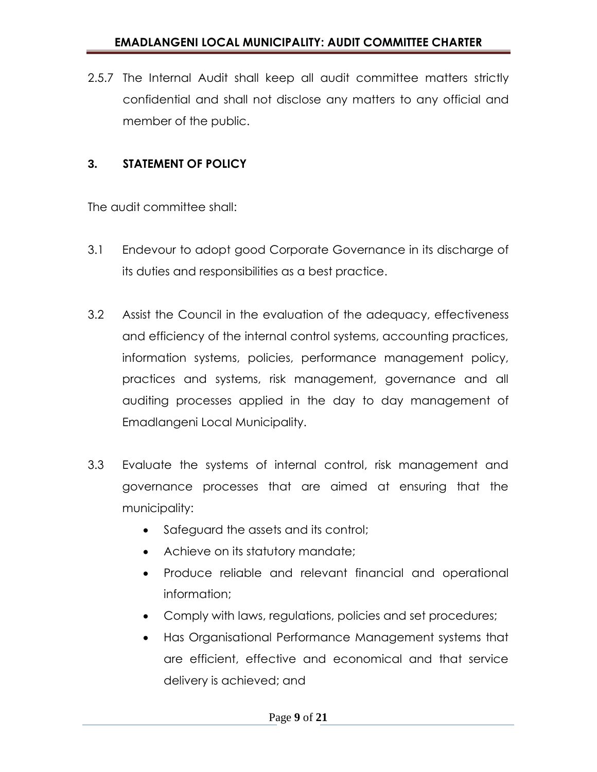2.5.7 The Internal Audit shall keep all audit committee matters strictly confidential and shall not disclose any matters to any official and member of the public.

# **3. STATEMENT OF POLICY**

The audit committee shall:

- 3.1 Endevour to adopt good Corporate Governance in its discharge of its duties and responsibilities as a best practice.
- 3.2 Assist the Council in the evaluation of the adequacy, effectiveness and efficiency of the internal control systems, accounting practices, information systems, policies, performance management policy, practices and systems, risk management, governance and all auditing processes applied in the day to day management of Emadlangeni Local Municipality.
- 3.3 Evaluate the systems of internal control, risk management and governance processes that are aimed at ensuring that the municipality:
	- Safeguard the assets and its control;
	- Achieve on its statutory mandate;
	- Produce reliable and relevant financial and operational information;
	- Comply with laws, regulations, policies and set procedures;
	- Has Organisational Performance Management systems that are efficient, effective and economical and that service delivery is achieved; and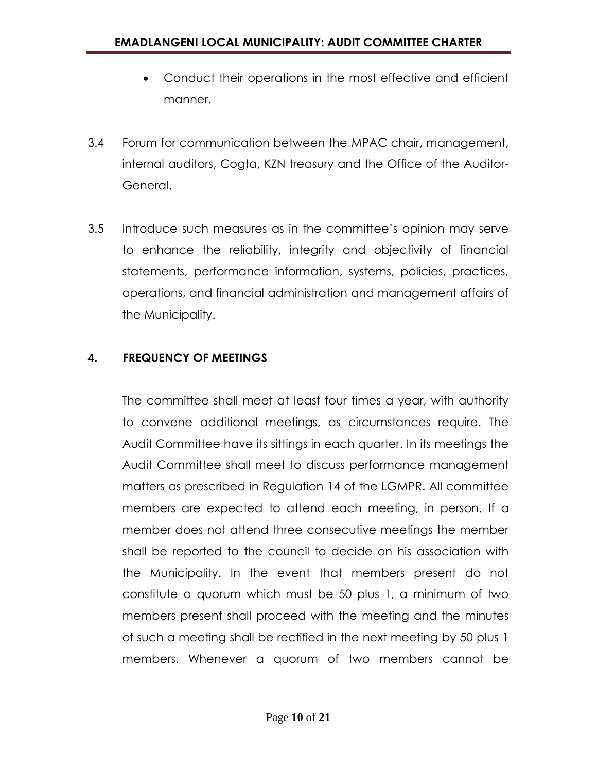- Conduct their operations in the most effective and efficient manner.
- 3.4 Forum for communication between the MPAC chair, management, internal auditors, Cogta, KZN treasury and the Office of the Auditor-General.
- 3.5 Introduce such measures as in the committee's opinion may serve to enhance the reliability, integrity and objectivity of financial statements, performance information, systems, policies, practices, operations, and financial administration and management affairs of the Municipality.

# **4. FREQUENCY OF MEETINGS**

The committee shall meet at least four times a year, with authority to convene additional meetings, as circumstances require. The Audit Committee have its sittings in each quarter. In its meetings the Audit Committee shall meet to discuss performance management matters as prescribed in Regulation 14 of the LGMPR. All committee members are expected to attend each meeting, in person. If a member does not attend three consecutive meetings the member shall be reported to the council to decide on his association with the Municipality. In the event that members present do not constitute a quorum which must be 50 plus 1, a minimum of two members present shall proceed with the meeting and the minutes of such a meeting shall be rectified in the next meeting by 50 plus 1 members. Whenever a quorum of two members cannot be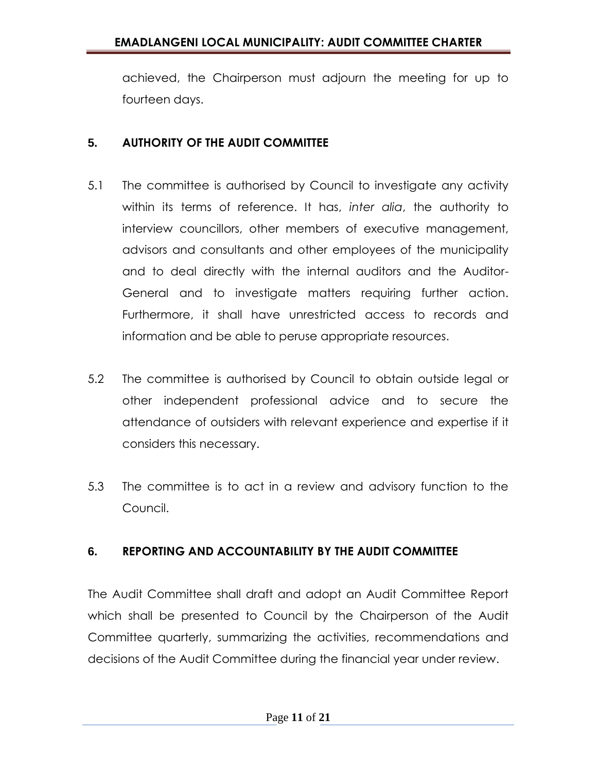achieved, the Chairperson must adjourn the meeting for up to fourteen days.

## **5. AUTHORITY OF THE AUDIT COMMITTEE**

- 5.1 The committee is authorised by Council to investigate any activity within its terms of reference. It has, *inter alia*, the authority to interview councillors, other members of executive management, advisors and consultants and other employees of the municipality and to deal directly with the internal auditors and the Auditor-General and to investigate matters requiring further action. Furthermore, it shall have unrestricted access to records and information and be able to peruse appropriate resources.
- 5.2 The committee is authorised by Council to obtain outside legal or other independent professional advice and to secure the attendance of outsiders with relevant experience and expertise if it considers this necessary.
- 5.3 The committee is to act in a review and advisory function to the Council.

# **6. REPORTING AND ACCOUNTABILITY BY THE AUDIT COMMITTEE**

The Audit Committee shall draft and adopt an Audit Committee Report which shall be presented to Council by the Chairperson of the Audit Committee quarterly, summarizing the activities, recommendations and decisions of the Audit Committee during the financial year under review.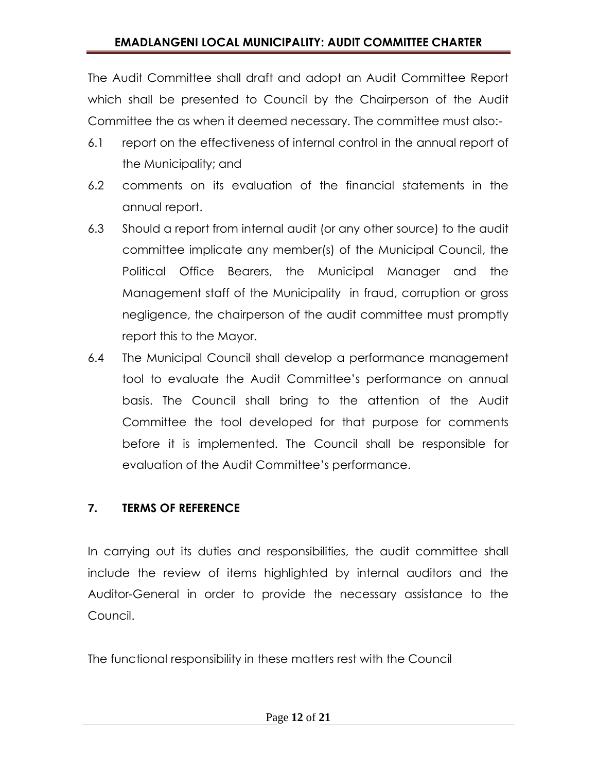The Audit Committee shall draft and adopt an Audit Committee Report which shall be presented to Council by the Chairperson of the Audit Committee the as when it deemed necessary. The committee must also:-

- 6.1 report on the effectiveness of internal control in the annual report of the Municipality; and
- 6.2 comments on its evaluation of the financial statements in the annual report.
- 6.3 Should a report from internal audit (or any other source) to the audit committee implicate any member(s) of the Municipal Council, the Political Office Bearers, the Municipal Manager and the Management staff of the Municipality in fraud, corruption or gross negligence, the chairperson of the audit committee must promptly report this to the Mayor.
- 6.4 The Municipal Council shall develop a performance management tool to evaluate the Audit Committee's performance on annual basis. The Council shall bring to the attention of the Audit Committee the tool developed for that purpose for comments before it is implemented. The Council shall be responsible for evaluation of the Audit Committee's performance.

# **7. TERMS OF REFERENCE**

In carrying out its duties and responsibilities, the audit committee shall include the review of items highlighted by internal auditors and the Auditor-General in order to provide the necessary assistance to the Council.

The functional responsibility in these matters rest with the Council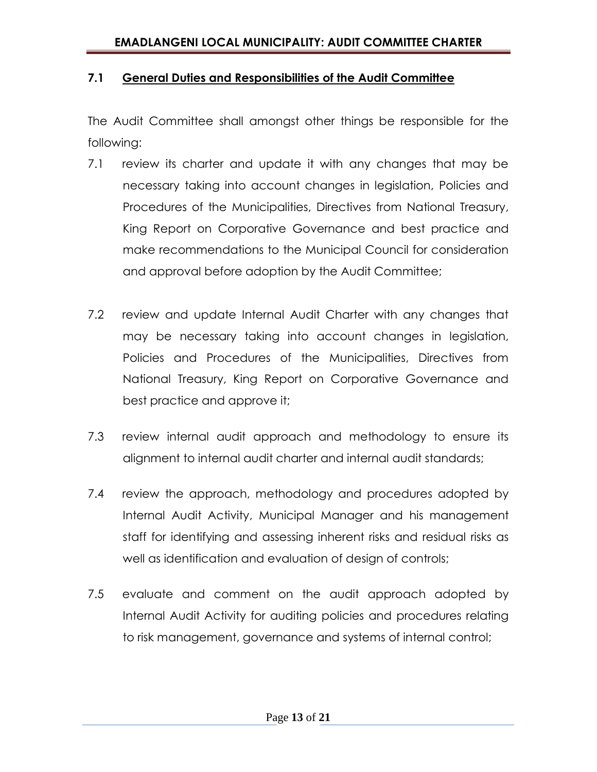#### **7.1 General Duties and Responsibilities of the Audit Committee**

The Audit Committee shall amongst other things be responsible for the following:

- 7.1 review its charter and update it with any changes that may be necessary taking into account changes in legislation, Policies and Procedures of the Municipalities, Directives from National Treasury, King Report on Corporative Governance and best practice and make recommendations to the Municipal Council for consideration and approval before adoption by the Audit Committee;
- 7.2 review and update Internal Audit Charter with any changes that may be necessary taking into account changes in legislation, Policies and Procedures of the Municipalities, Directives from National Treasury, King Report on Corporative Governance and best practice and approve it;
- 7.3 review internal audit approach and methodology to ensure its alignment to internal audit charter and internal audit standards;
- 7.4 review the approach, methodology and procedures adopted by Internal Audit Activity, Municipal Manager and his management staff for identifying and assessing inherent risks and residual risks as well as identification and evaluation of design of controls;
- 7.5 evaluate and comment on the audit approach adopted by Internal Audit Activity for auditing policies and procedures relating to risk management, governance and systems of internal control;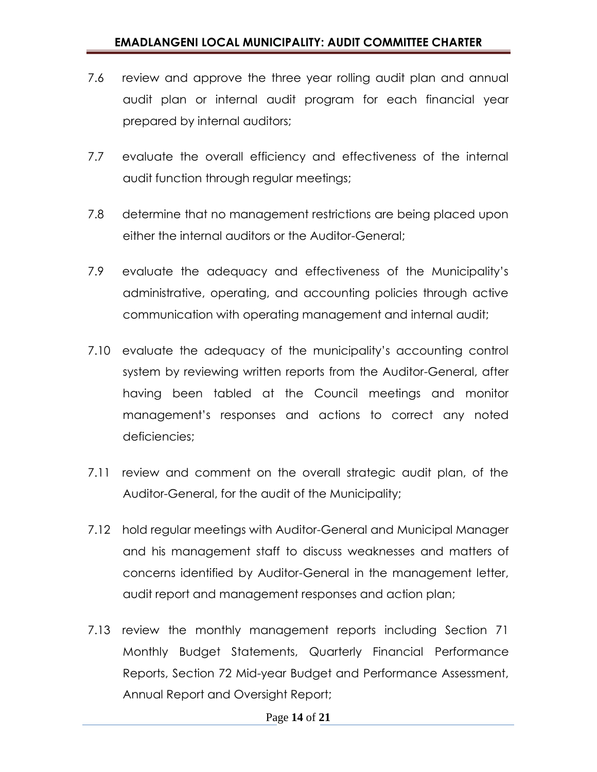- 7.6 review and approve the three year rolling audit plan and annual audit plan or internal audit program for each financial year prepared by internal auditors;
- 7.7 evaluate the overall efficiency and effectiveness of the internal audit function through regular meetings;
- 7.8 determine that no management restrictions are being placed upon either the internal auditors or the Auditor-General;
- 7.9 evaluate the adequacy and effectiveness of the Municipality's administrative, operating, and accounting policies through active communication with operating management and internal audit;
- 7.10 evaluate the adequacy of the municipality's accounting control system by reviewing written reports from the Auditor-General, after having been tabled at the Council meetings and monitor management's responses and actions to correct any noted deficiencies;
- 7.11 review and comment on the overall strategic audit plan, of the Auditor-General, for the audit of the Municipality;
- 7.12 hold regular meetings with Auditor-General and Municipal Manager and his management staff to discuss weaknesses and matters of concerns identified by Auditor-General in the management letter, audit report and management responses and action plan;
- 7.13 review the monthly management reports including Section 71 Monthly Budget Statements, Quarterly Financial Performance Reports, Section 72 Mid-year Budget and Performance Assessment, Annual Report and Oversight Report;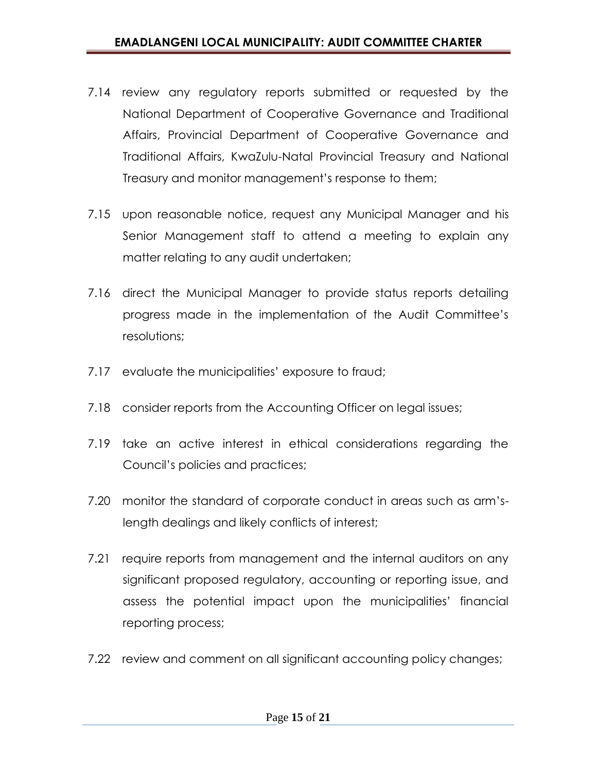- 7.14 review any regulatory reports submitted or requested by the National Department of Cooperative Governance and Traditional Affairs, Provincial Department of Cooperative Governance and Traditional Affairs, KwaZulu-Natal Provincial Treasury and National Treasury and monitor management's response to them;
- 7.15 upon reasonable notice, request any Municipal Manager and his Senior Management staff to attend a meeting to explain any matter relating to any audit undertaken;
- 7.16 direct the Municipal Manager to provide status reports detailing progress made in the implementation of the Audit Committee's resolutions;
- 7.17 evaluate the municipalities' exposure to fraud;
- 7.18 consider reports from the Accounting Officer on legal issues;
- 7.19 take an active interest in ethical considerations regarding the Council's policies and practices;
- 7.20 monitor the standard of corporate conduct in areas such as arm'slength dealings and likely conflicts of interest;
- 7.21 require reports from management and the internal auditors on any significant proposed regulatory, accounting or reporting issue, and assess the potential impact upon the municipalities' financial reporting process;
- 7.22 review and comment on all significant accounting policy changes;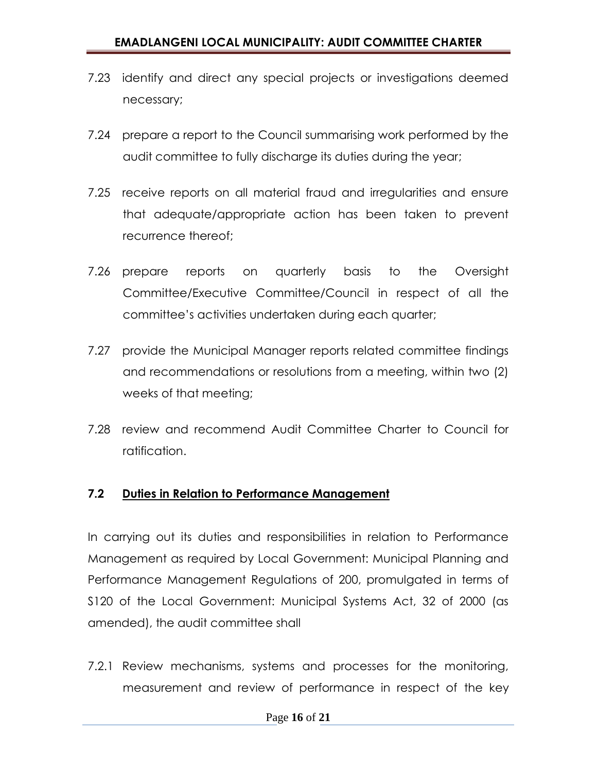- 7.23 identify and direct any special projects or investigations deemed necessary;
- 7.24 prepare a report to the Council summarising work performed by the audit committee to fully discharge its duties during the year;
- 7.25 receive reports on all material fraud and irregularities and ensure that adequate/appropriate action has been taken to prevent recurrence thereof;
- 7.26 prepare reports on quarterly basis to the Oversight Committee/Executive Committee/Council in respect of all the committee's activities undertaken during each quarter;
- 7.27 provide the Municipal Manager reports related committee findings and recommendations or resolutions from a meeting, within two (2) weeks of that meeting;
- 7.28 review and recommend Audit Committee Charter to Council for ratification.

### **7.2 Duties in Relation to Performance Management**

In carrying out its duties and responsibilities in relation to Performance Management as required by Local Government: Municipal Planning and Performance Management Regulations of 200, promulgated in terms of S120 of the Local Government: Municipal Systems Act, 32 of 2000 (as amended), the audit committee shall

7.2.1 Review mechanisms, systems and processes for the monitoring, measurement and review of performance in respect of the key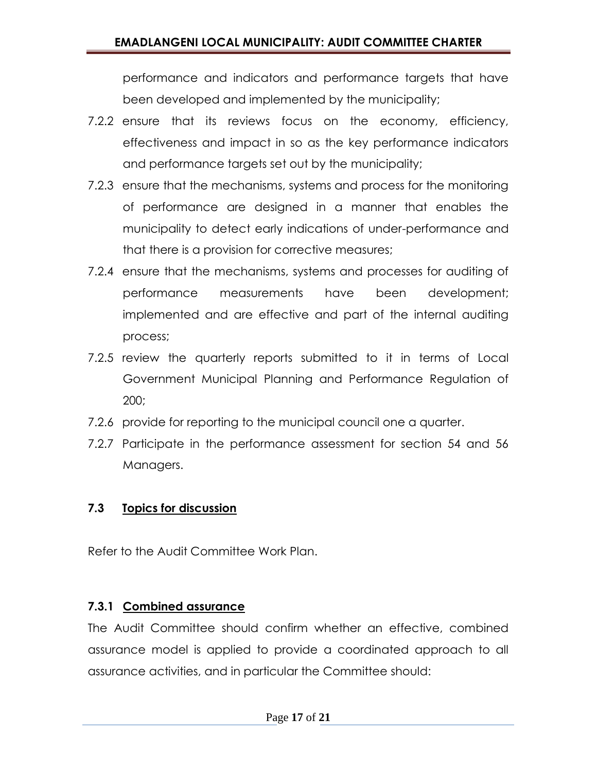performance and indicators and performance targets that have been developed and implemented by the municipality;

- 7.2.2 ensure that its reviews focus on the economy, efficiency, effectiveness and impact in so as the key performance indicators and performance targets set out by the municipality;
- 7.2.3 ensure that the mechanisms, systems and process for the monitoring of performance are designed in a manner that enables the municipality to detect early indications of under-performance and that there is a provision for corrective measures;
- 7.2.4 ensure that the mechanisms, systems and processes for auditing of performance measurements have been development; implemented and are effective and part of the internal auditing process;
- 7.2.5 review the quarterly reports submitted to it in terms of Local Government Municipal Planning and Performance Regulation of 200;
- 7.2.6 provide for reporting to the municipal council one a quarter.
- 7.2.7 Participate in the performance assessment for section 54 and 56 Managers.

# **7.3 Topics for discussion**

Refer to the Audit Committee Work Plan.

# **7.3.1 Combined assurance**

The Audit Committee should confirm whether an effective, combined assurance model is applied to provide a coordinated approach to all assurance activities, and in particular the Committee should: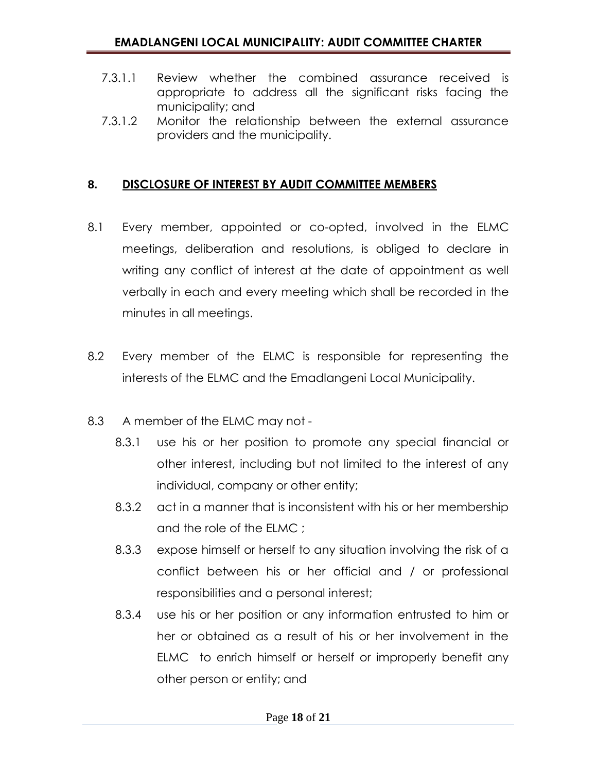- 7.3.1.1 Review whether the combined assurance received is appropriate to address all the significant risks facing the municipality; and
- 7.3.1.2 Monitor the relationship between the external assurance providers and the municipality.

## **8. DISCLOSURE OF INTEREST BY AUDIT COMMITTEE MEMBERS**

- 8.1 Every member, appointed or co-opted, involved in the ELMC meetings, deliberation and resolutions, is obliged to declare in writing any conflict of interest at the date of appointment as well verbally in each and every meeting which shall be recorded in the minutes in all meetings.
- 8.2 Every member of the ELMC is responsible for representing the interests of the ELMC and the Emadlangeni Local Municipality.
- 8.3 A member of the ELMC may not
	- 8.3.1 use his or her position to promote any special financial or other interest, including but not limited to the interest of any individual, company or other entity;
	- 8.3.2 act in a manner that is inconsistent with his or her membership and the role of the ELMC ;
	- 8.3.3 expose himself or herself to any situation involving the risk of a conflict between his or her official and / or professional responsibilities and a personal interest;
	- 8.3.4 use his or her position or any information entrusted to him or her or obtained as a result of his or her involvement in the ELMC to enrich himself or herself or improperly benefit any other person or entity; and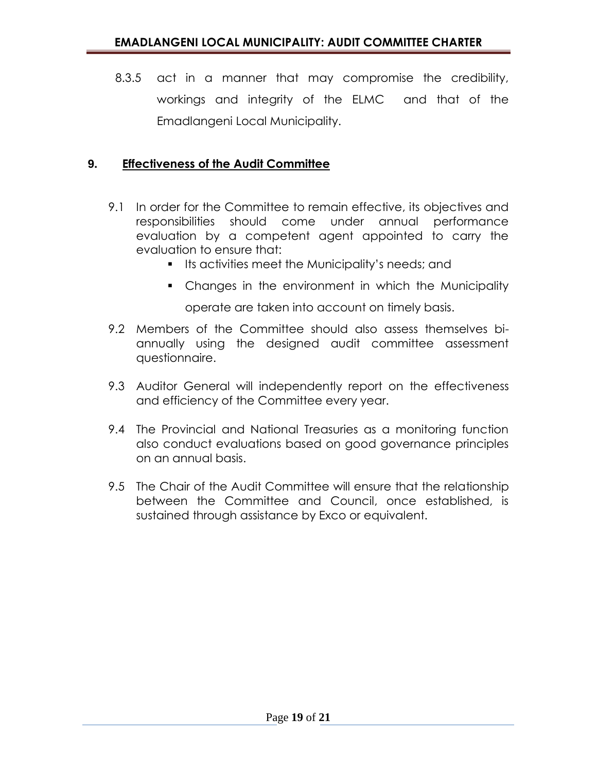8.3.5 act in a manner that may compromise the credibility, workings and integrity of the ELMC and that of the Emadlangeni Local Municipality.

#### **9. Effectiveness of the Audit Committee**

- 9.1 In order for the Committee to remain effective, its objectives and responsibilities should come under annual performance evaluation by a competent agent appointed to carry the evaluation to ensure that:
	- **If Its activities meet the Municipality's needs; and**
	- Changes in the environment in which the Municipality operate are taken into account on timely basis.
- 9.2 Members of the Committee should also assess themselves biannually using the designed audit committee assessment questionnaire.
- 9.3 Auditor General will independently report on the effectiveness and efficiency of the Committee every year.
- 9.4 The Provincial and National Treasuries as a monitoring function also conduct evaluations based on good governance principles on an annual basis.
- 9.5 The Chair of the Audit Committee will ensure that the relationship between the Committee and Council, once established, is sustained through assistance by Exco or equivalent.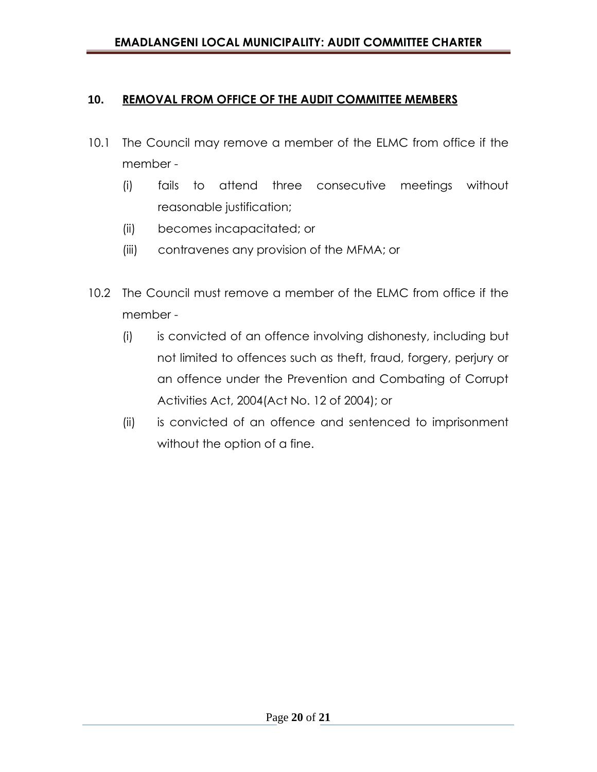#### **10. REMOVAL FROM OFFICE OF THE AUDIT COMMITTEE MEMBERS**

- 10.1 The Council may remove a member of the ELMC from office if the member -
	- (i) fails to attend three consecutive meetings without reasonable justification;
	- (ii) becomes incapacitated; or
	- (iii) contravenes any provision of the MFMA; or
- 10.2 The Council must remove a member of the ELMC from office if the member -
	- (i) is convicted of an offence involving dishonesty, including but not limited to offences such as theft, fraud, forgery, perjury or an offence under the Prevention and Combating of Corrupt Activities Act, 2004(Act No. 12 of 2004); or
	- (ii) is convicted of an offence and sentenced to imprisonment without the option of a fine.